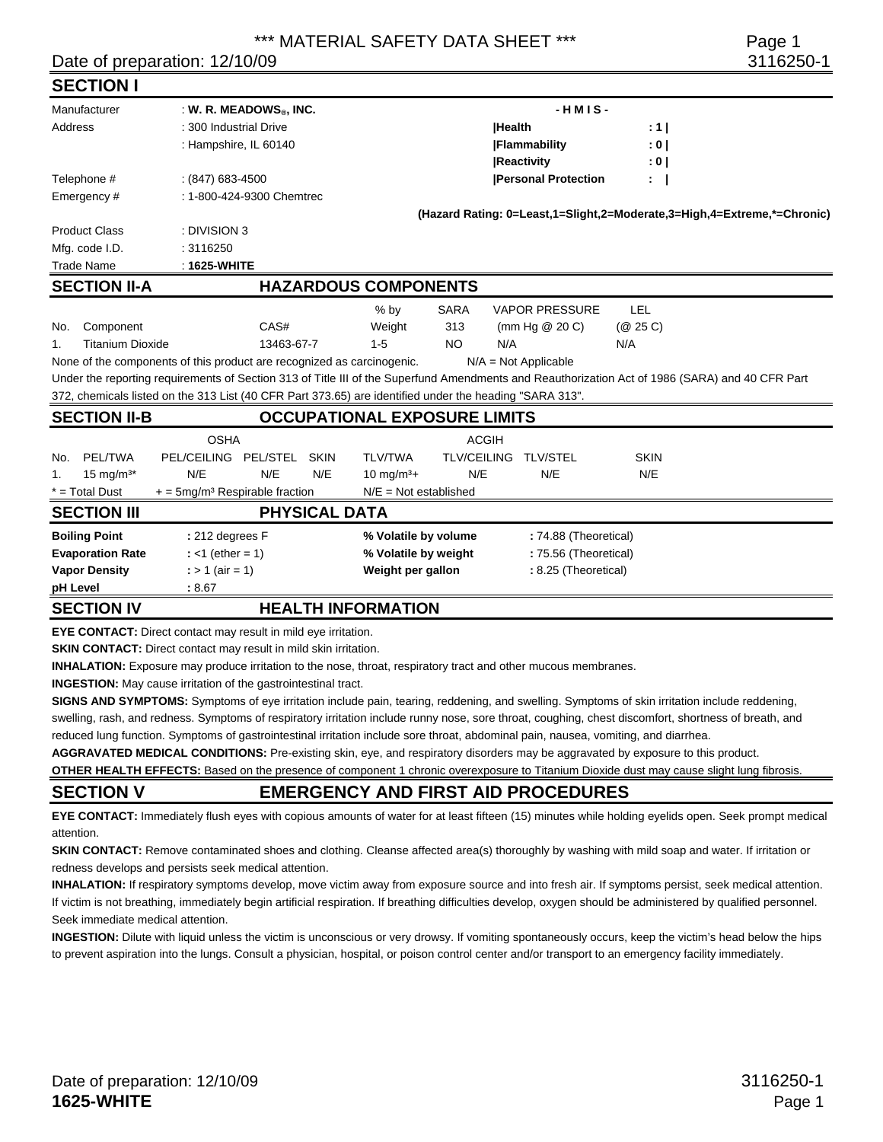## \*\*\* MATERIAL SAFETY DATA SHEET \*\*\* Page 1

## Date of preparation: 12/10/09 3116250-1

| <b>SECTION I</b>                                      |                         |                                                                                                         |                 |                            |                         |                    |               |                        |                  |                                                                                                                                                 |
|-------------------------------------------------------|-------------------------|---------------------------------------------------------------------------------------------------------|-----------------|----------------------------|-------------------------|--------------------|---------------|------------------------|------------------|-------------------------------------------------------------------------------------------------------------------------------------------------|
| Manufacturer<br>$:$ W. R. MEADOWS <sup>®</sup> , INC. |                         |                                                                                                         |                 |                            | $-HMIS-$                |                    |               |                        |                  |                                                                                                                                                 |
| Address                                               |                         | : 300 Industrial Drive                                                                                  |                 |                            |                         |                    | <b>Health</b> |                        | $: 1 \mid$       |                                                                                                                                                 |
|                                                       |                         | : Hampshire, IL 60140                                                                                   |                 |                            |                         |                    |               | <b> Flammability</b>   | : 0 <sub>1</sub> |                                                                                                                                                 |
|                                                       |                         |                                                                                                         |                 |                            |                         |                    |               | <b>Reactivity</b>      | : 0              |                                                                                                                                                 |
| Telephone #<br>$(847)$ 683-4500                       |                         |                                                                                                         |                 | <b>Personal Protection</b> |                         |                    | $\mathbf{r}$  |                        |                  |                                                                                                                                                 |
| Emergency#                                            |                         | : 1-800-424-9300 Chemtrec                                                                               |                 |                            |                         |                    |               |                        |                  |                                                                                                                                                 |
|                                                       |                         |                                                                                                         |                 |                            |                         |                    |               |                        |                  | (Hazard Rating: 0=Least,1=Slight,2=Moderate,3=High,4=Extreme,*=Chronic)                                                                         |
| <b>Product Class</b>                                  |                         | : DIVISION 3                                                                                            |                 |                            |                         |                    |               |                        |                  |                                                                                                                                                 |
| Mfg. code I.D.                                        |                         | : 3116250                                                                                               |                 |                            |                         |                    |               |                        |                  |                                                                                                                                                 |
| <b>Trade Name</b>                                     |                         | $: 1625-WHITE$                                                                                          |                 |                            |                         |                    |               |                        |                  |                                                                                                                                                 |
| <b>SECTION II-A</b>                                   |                         | <b>HAZARDOUS COMPONENTS</b>                                                                             |                 |                            |                         |                    |               |                        |                  |                                                                                                                                                 |
|                                                       |                         |                                                                                                         |                 |                            | $%$ by                  | <b>SARA</b>        |               | <b>VAPOR PRESSURE</b>  | LEL              |                                                                                                                                                 |
| No.                                                   | Component               |                                                                                                         | CAS#            |                            | Weight                  | 313                |               | (mm Hg $@$ 20 C)       | (Q 25 C)         |                                                                                                                                                 |
| 1.                                                    | <b>Titanium Dioxide</b> |                                                                                                         | 13463-67-7      |                            | $1 - 5$                 | <b>NO</b>          | N/A           |                        | N/A              |                                                                                                                                                 |
|                                                       |                         | None of the components of this product are recognized as carcinogenic.                                  |                 |                            |                         |                    |               | $N/A = Not Applicable$ |                  |                                                                                                                                                 |
|                                                       |                         |                                                                                                         |                 |                            |                         |                    |               |                        |                  | Under the reporting requirements of Section 313 of Title III of the Superfund Amendments and Reauthorization Act of 1986 (SARA) and 40 CFR Part |
|                                                       |                         | 372, chemicals listed on the 313 List (40 CFR Part 373.65) are identified under the heading "SARA 313". |                 |                            |                         |                    |               |                        |                  |                                                                                                                                                 |
| <b>SECTION II-B</b>                                   |                         | <b>OCCUPATIONAL EXPOSURE LIMITS</b>                                                                     |                 |                            |                         |                    |               |                        |                  |                                                                                                                                                 |
|                                                       |                         | <b>OSHA</b>                                                                                             |                 |                            | <b>ACGIH</b>            |                    |               |                        |                  |                                                                                                                                                 |
| No.                                                   | <b>PEL/TWA</b>          | <b>PEL/CEILING</b>                                                                                      | <b>PEL/STEL</b> | <b>SKIN</b>                | <b>TLV/TWA</b>          | <b>TLV/CEILING</b> |               | <b>TLV/STEL</b>        | <b>SKIN</b>      |                                                                                                                                                 |
| 1.                                                    | 15 mg/ $m^{3*}$         | N/E                                                                                                     | N/E             | N/E                        | $10 \text{ mg/m}^3+$    | N/E                |               | N/E                    | N/E              |                                                                                                                                                 |
| $*$ = Total Dust                                      |                         | $+$ = 5mg/m <sup>3</sup> Respirable fraction                                                            |                 |                            | $N/E = Not established$ |                    |               |                        |                  |                                                                                                                                                 |
| <b>SECTION III</b>                                    |                         | <b>PHYSICAL DATA</b>                                                                                    |                 |                            |                         |                    |               |                        |                  |                                                                                                                                                 |
| <b>Boiling Point</b>                                  |                         | : 212 degrees F                                                                                         |                 |                            | % Volatile by volume    |                    |               | : 74.88 (Theoretical)  |                  |                                                                                                                                                 |
| <b>Evaporation Rate</b>                               |                         | : <1 (ether = 1)                                                                                        |                 |                            | % Volatile by weight    |                    |               | : 75.56 (Theoretical)  |                  |                                                                                                                                                 |
| <b>Vapor Density</b>                                  |                         | $:$ > 1 (air = 1)                                                                                       |                 |                            | Weight per gallon       |                    |               | : 8.25 (Theoretical)   |                  |                                                                                                                                                 |
| pH Level                                              |                         | : 8.67                                                                                                  |                 |                            |                         |                    |               |                        |                  |                                                                                                                                                 |
| <b>SECTION IV</b>                                     |                         | <b>HEALTH INFORMATION</b>                                                                               |                 |                            |                         |                    |               |                        |                  |                                                                                                                                                 |

**EYE CONTACT:** Direct contact may result in mild eye irritation.

**SKIN CONTACT:** Direct contact may result in mild skin irritation.

**INHALATION:** Exposure may produce irritation to the nose, throat, respiratory tract and other mucous membranes.

**INGESTION:** May cause irritation of the gastrointestinal tract.

**SIGNS AND SYMPTOMS:** Symptoms of eye irritation include pain, tearing, reddening, and swelling. Symptoms of skin irritation include reddening,

swelling, rash, and redness. Symptoms of respiratory irritation include runny nose, sore throat, coughing, chest discomfort, shortness of breath, and reduced lung function. Symptoms of gastrointestinal irritation include sore throat, abdominal pain, nausea, vomiting, and diarrhea.

**AGGRAVATED MEDICAL CONDITIONS:** Pre-existing skin, eye, and respiratory disorders may be aggravated by exposure to this product.

**OTHER HEALTH EFFECTS:** Based on the presence of component 1 chronic overexposure to Titanium Dioxide dust may cause slight lung fibrosis.

**SECTION V EMERGENCY AND FIRST AID PROCEDURES** 

**EYE CONTACT:** Immediately flush eyes with copious amounts of water for at least fifteen (15) minutes while holding eyelids open. Seek prompt medical attention.

**SKIN CONTACT:** Remove contaminated shoes and clothing. Cleanse affected area(s) thoroughly by washing with mild soap and water. If irritation or redness develops and persists seek medical attention.

**INHALATION:** If respiratory symptoms develop, move victim away from exposure source and into fresh air. If symptoms persist, seek medical attention. If victim is not breathing, immediately begin artificial respiration. If breathing difficulties develop, oxygen should be administered by qualified personnel. Seek immediate medical attention.

**INGESTION:** Dilute with liquid unless the victim is unconscious or very drowsy. If vomiting spontaneously occurs, keep the victim's head below the hips to prevent aspiration into the lungs. Consult a physician, hospital, or poison control center and/or transport to an emergency facility immediately.